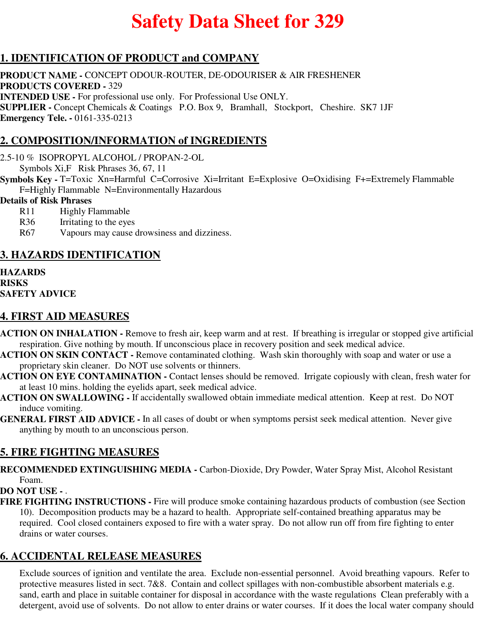# **Safety Data Sheet for 329**

## **1. IDENTIFICATION OF PRODUCT and COMPANY**

**PRODUCT NAME -** CONCEPT ODOUR-ROUTER, DE-ODOURISER & AIR FRESHENER **PRODUCTS COVERED -** 329 **INTENDED USE -** For professional use only. For Professional Use ONLY. **SUPPLIER -** Concept Chemicals & Coatings P.O. Box 9, Bramhall, Stockport, Cheshire. SK7 1JF **Emergency Tele. -** 0161-335-0213

## **2. COMPOSITION/INFORMATION of INGREDIENTS**

2.5-10 % ISOPROPYL ALCOHOL / PROPAN-2-OL

Symbols Xi,F Risk Phrases 36, 67, 11

**Symbols Key -** T=Toxic Xn=Harmful C=Corrosive Xi=Irritant E=Explosive O=Oxidising F+=Extremely Flammable F=Highly Flammable N=Environmentally Hazardous

#### **Details of Risk Phrases**

- R11 Highly Flammable
- R36 Irritating to the eyes
- R67 Vapours may cause drowsiness and dizziness.

#### **3. HAZARDS IDENTIFICATION**

**HAZARDS RISKS SAFETY ADVICE**

#### **4. FIRST AID MEASURES**

- **ACTION ON INHALATION** Remove to fresh air, keep warm and at rest. If breathing is irregular or stopped give artificial respiration. Give nothing by mouth. If unconscious place in recovery position and seek medical advice.
- **ACTION ON SKIN CONTACT** Remove contaminated clothing. Wash skin thoroughly with soap and water or use a proprietary skin cleaner. Do NOT use solvents or thinners.
- **ACTION ON EYE CONTAMINATION** Contact lenses should be removed. Irrigate copiously with clean, fresh water for at least 10 mins. holding the eyelids apart, seek medical advice.
- **ACTION ON SWALLOWING** If accidentally swallowed obtain immediate medical attention. Keep at rest. Do NOT induce vomiting.
- **GENERAL FIRST AID ADVICE** In all cases of doubt or when symptoms persist seek medical attention. Never give anything by mouth to an unconscious person.

#### **5. FIRE FIGHTING MEASURES**

**RECOMMENDED EXTINGUISHING MEDIA -** Carbon-Dioxide, Dry Powder, Water Spray Mist, Alcohol Resistant Foam.

#### **DO NOT USE -** .

**FIRE FIGHTING INSTRUCTIONS -** Fire will produce smoke containing hazardous products of combustion (see Section 10). Decomposition products may be a hazard to health. Appropriate self-contained breathing apparatus may be required. Cool closed containers exposed to fire with a water spray. Do not allow run off from fire fighting to enter drains or water courses.

# **6. ACCIDENTAL RELEASE MEASURES**

Exclude sources of ignition and ventilate the area. Exclude non-essential personnel. Avoid breathing vapours. Refer to protective measures listed in sect. 7&8. Contain and collect spillages with non-combustible absorbent materials e.g. sand, earth and place in suitable container for disposal in accordance with the waste regulations Clean preferably with a detergent, avoid use of solvents. Do not allow to enter drains or water courses. If it does the local water company should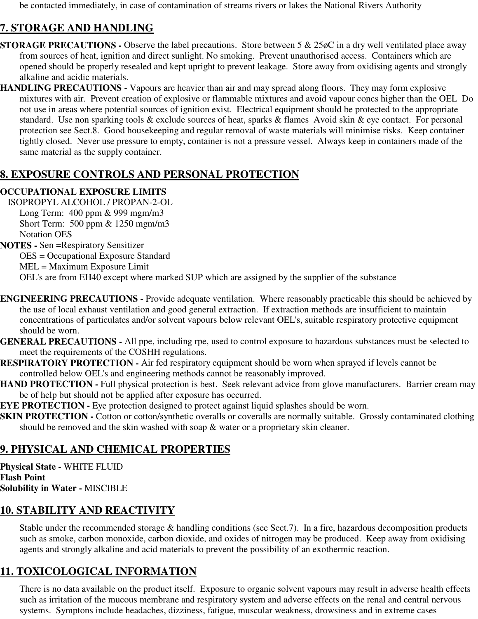be contacted immediately, in case of contamination of streams rivers or lakes the National Rivers Authority

# **7. STORAGE AND HANDLING**

- **STORAGE PRECAUTIONS -** Observe the label precautions. Store between 5 & 25 $\phi$ C in a dry well ventilated place away from sources of heat, ignition and direct sunlight. No smoking. Prevent unauthorised access. Containers which are opened should be properly resealed and kept upright to prevent leakage. Store away from oxidising agents and strongly alkaline and acidic materials.
- **HANDLING PRECAUTIONS** Vapours are heavier than air and may spread along floors. They may form explosive mixtures with air. Prevent creation of explosive or flammable mixtures and avoid vapour concs higher than the OEL Do not use in areas where potential sources of ignition exist. Electrical equipment should be protected to the appropriate standard. Use non sparking tools & exclude sources of heat, sparks & flames Avoid skin & eye contact. For personal protection see Sect.8. Good housekeeping and regular removal of waste materials will minimise risks. Keep container tightly closed. Never use pressure to empty, container is not a pressure vessel. Always keep in containers made of the same material as the supply container.

## **8. EXPOSURE CONTROLS AND PERSONAL PROTECTION**

#### **OCCUPATIONAL EXPOSURE LIMITS**

ISOPROPYL ALCOHOL / PROPAN-2-OL Long Term: 400 ppm & 999 mgm/m3 Short Term: 500 ppm & 1250 mgm/m3 Notation OES

**NOTES -** Sen =Respiratory Sensitizer OES = Occupational Exposure Standard MEL = Maximum Exposure Limit OEL's are from EH40 except where marked SUP which are assigned by the supplier of the substance

- **ENGINEERING PRECAUTIONS** Provide adequate ventilation. Where reasonably practicable this should be achieved by the use of local exhaust ventilation and good general extraction. If extraction methods are insufficient to maintain concentrations of particulates and/or solvent vapours below relevant OEL's, suitable respiratory protective equipment should be worn.
- **GENERAL PRECAUTIONS** All ppe, including rpe, used to control exposure to hazardous substances must be selected to meet the requirements of the COSHH regulations.
- **RESPIRATORY PROTECTION** Air fed respiratory equipment should be worn when sprayed if levels cannot be controlled below OEL's and engineering methods cannot be reasonably improved.
- **HAND PROTECTION Full physical protection is best. Seek relevant advice from glove manufacturers. Barrier cream may** be of help but should not be applied after exposure has occurred.
- **EYE PROTECTION -** Eye protection designed to protect against liquid splashes should be worn.
- **SKIN PROTECTION -** Cotton or cotton/synthetic overalls or coveralls are normally suitable. Grossly contaminated clothing should be removed and the skin washed with soap & water or a proprietary skin cleaner.

# **9. PHYSICAL AND CHEMICAL PROPERTIES**

**Physical State -** WHITE FLUID **Flash Point Solubility in Water -** MISCIBLE

# **10. STABILITY AND REACTIVITY**

Stable under the recommended storage & handling conditions (see Sect.7). In a fire, hazardous decomposition products such as smoke, carbon monoxide, carbon dioxide, and oxides of nitrogen may be produced. Keep away from oxidising agents and strongly alkaline and acid materials to prevent the possibility of an exothermic reaction.

# **11. TOXICOLOGICAL INFORMATION**

There is no data available on the product itself. Exposure to organic solvent vapours may result in adverse health effects such as irritation of the mucous membrane and respiratory system and adverse effects on the renal and central nervous systems. Symptons include headaches, dizziness, fatigue, muscular weakness, drowsiness and in extreme cases